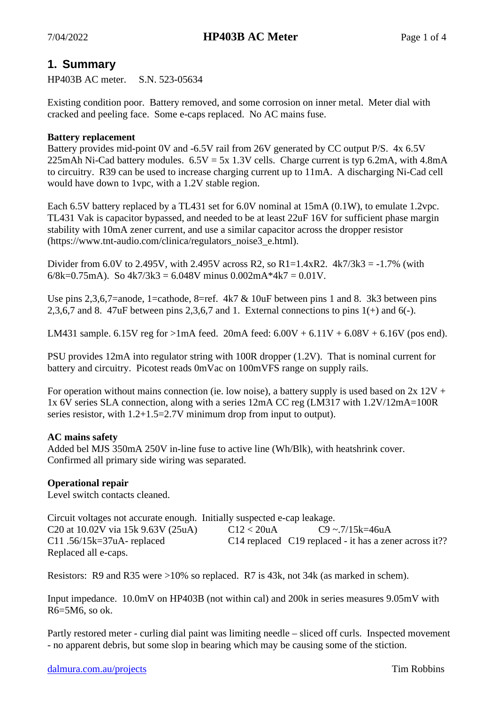# **1. Summary**

HP403B AC meter. S.N. 523-05634

Existing condition poor. Battery removed, and some corrosion on inner metal. Meter dial with cracked and peeling face. Some e-caps replaced. No AC mains fuse.

#### **Battery replacement**

Battery provides mid-point 0V and -6.5V rail from 26V generated by CC output P/S. 4x 6.5V 225mAh Ni-Cad battery modules.  $6.5V = 5x$  1.3V cells. Charge current is typ 6.2mA, with 4.8mA to circuitry. R39 can be used to increase charging current up to 11mA. A discharging Ni-Cad cell would have down to 1vpc, with a 1.2V stable region.

Each 6.5V battery replaced by a TL431 set for 6.0V nominal at 15mA (0.1W), to emulate 1.2vpc. TL431 Vak is capacitor bypassed, and needed to be at least 22uF 16V for sufficient phase margin stability with 10mA zener current, and use a similar capacitor across the dropper resistor (https://www.tnt-audio.com/clinica/regulators\_noise3\_e.html).

Divider from 6.0V to 2.495V, with 2.495V across R2, so R1=1.4xR2.  $4k7/3k3 = -1.7\%$  (with 6/8k=0.75mA). So  $4k7/3k3 = 6.048V$  minus 0.002mA\*4k7 = 0.01V.

Use pins 2,3,6,7=anode, 1=cathode, 8=ref.  $4k7 & 10uF$  between pins 1 and 8. 3k3 between pins 2,3,6,7 and 8. 47 $uF$  between pins 2,3,6,7 and 1. External connections to pins  $1(+)$  and 6(-).

LM431 sample. 6.15V reg for  $>1$ mA feed. 20mA feed: 6.00V + 6.11V + 6.08V + 6.16V (pos end).

PSU provides 12mA into regulator string with 100R dropper (1.2V). That is nominal current for battery and circuitry. Picotest reads 0mVac on 100mVFS range on supply rails.

For operation without mains connection (ie. low noise), a battery supply is used based on  $2x 12V$  + 1x 6V series SLA connection, along with a series 12mA CC reg (LM317 with 1.2V/12mA=100R series resistor, with 1.2+1.5=2.7V minimum drop from input to output).

## **AC mains safety**

Added bel MJS 350mA 250V in-line fuse to active line (Wh/Blk), with heatshrink cover. Confirmed all primary side wiring was separated.

## **Operational repair**

Level switch contacts cleaned.

Circuit voltages not accurate enough. Initially suspected e-cap leakage. C20 at  $10.02V$  via  $15k 9.63V (25u)$  C12 <  $20u$ A C9 ~.7/15k=46uA C11 .56/15k=37uA- replaced C14 replaced C19 replaced - it has a zener across it?? Replaced all e-caps.

Resistors: R9 and R35 were >10% so replaced. R7 is 43k, not 34k (as marked in schem).

Input impedance. 10.0mV on HP403B (not within cal) and 200k in series measures 9.05mV with R6=5M6, so ok.

Partly restored meter - curling dial paint was limiting needle – sliced off curls. Inspected movement - no apparent debris, but some slop in bearing which may be causing some of the stiction.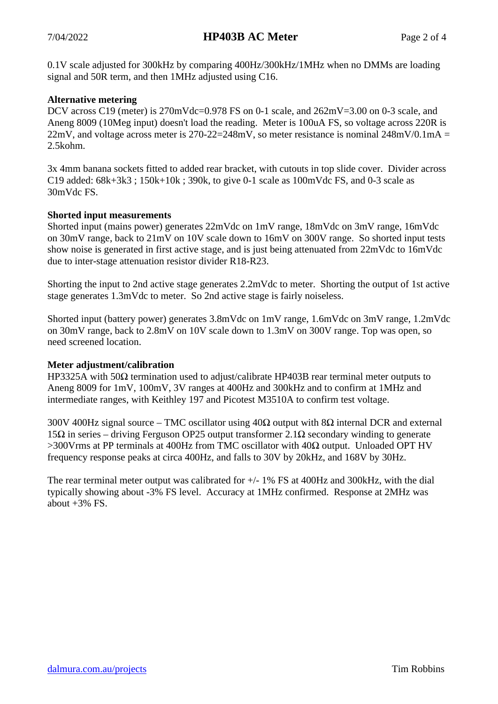0.1V scale adjusted for 300kHz by comparing 400Hz/300kHz/1MHz when no DMMs are loading signal and 50R term, and then 1MHz adjusted using C16.

## **Alternative metering**

DCV across C19 (meter) is  $270$ mVdc=0.978 FS on 0-1 scale, and  $262$ mV=3.00 on 0-3 scale, and Aneng 8009 (10Meg input) doesn't load the reading. Meter is 100uA FS, so voltage across 220R is 22mV, and voltage across meter is 270-22=248mV, so meter resistance is nominal  $248mV/0.1mA =$ 2.5kohm.

3x 4mm banana sockets fitted to added rear bracket, with cutouts in top slide cover. Divider across C19 added:  $68k+3k3$ ;  $150k+10k$ ;  $390k$ , to give 0-1 scale as  $100mV$ dc FS, and 0-3 scale as 30mVdc FS.

## **Shorted input measurements**

Shorted input (mains power) generates 22mVdc on 1mV range, 18mVdc on 3mV range, 16mVdc on 30mV range, back to 21mV on 10V scale down to 16mV on 300V range. So shorted input tests show noise is generated in first active stage, and is just being attenuated from 22mVdc to 16mVdc due to inter-stage attenuation resistor divider R18-R23.

Shorting the input to 2nd active stage generates 2.2mVdc to meter. Shorting the output of 1st active stage generates 1.3mVdc to meter. So 2nd active stage is fairly noiseless.

Shorted input (battery power) generates 3.8mVdc on 1mV range, 1.6mVdc on 3mV range, 1.2mVdc on 30mV range, back to 2.8mV on 10V scale down to 1.3mV on 300V range. Top was open, so need screened location.

## **Meter adjustment/calibration**

HP3325A with 50Ω termination used to adjust/calibrate HP403B rear terminal meter outputs to Aneng 8009 for 1mV, 100mV, 3V ranges at 400Hz and 300kHz and to confirm at 1MHz and intermediate ranges, with Keithley 197 and Picotest M3510A to confirm test voltage.

300V 400Hz signal source – TMC oscillator using  $40\Omega$  output with  $8\Omega$  internal DCR and external 15Ω in series – driving Ferguson OP25 output transformer 2.1Ω secondary winding to generate >300Vrms at PP terminals at 400Hz from TMC oscillator with 40Ω output. Unloaded OPT HV frequency response peaks at circa 400Hz, and falls to 30V by 20kHz, and 168V by 30Hz.

The rear terminal meter output was calibrated for  $+/- 1\%$  FS at 400Hz and 300kHz, with the dial typically showing about -3% FS level. Accuracy at 1MHz confirmed. Response at 2MHz was about  $+3\%$  FS.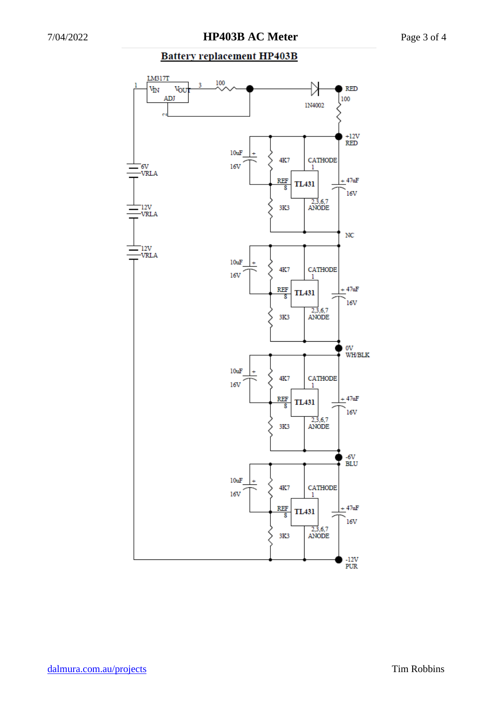## **Battery replacement HP403B**